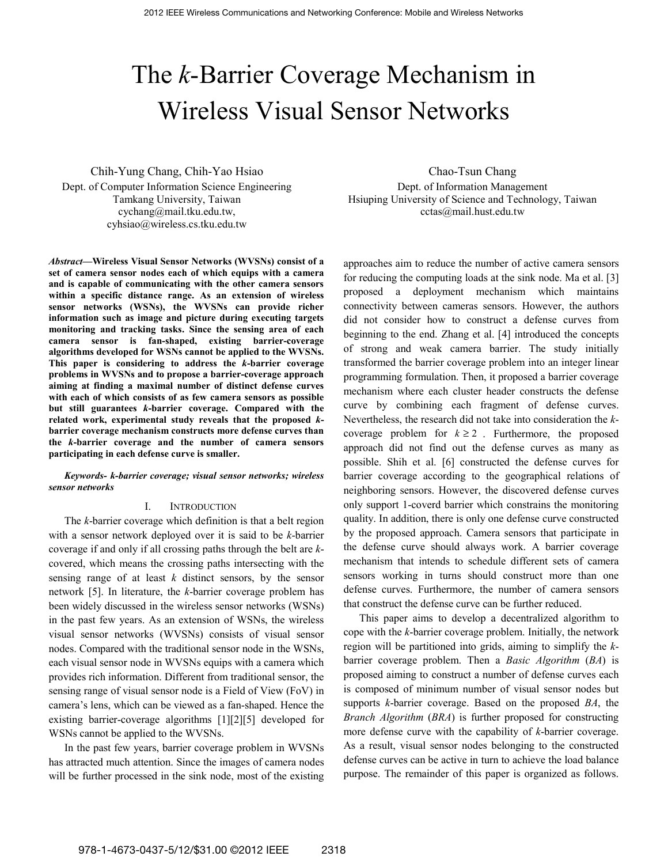# The *k*-Barrier Coverage Mechanism in Wireless Visual Sensor Networks

Chih-Yung Chang, Chih-Yao Hsiao Dept. of Computer Information Science Engineering Tamkang University, Taiwan cychang@mail.tku.edu.tw, cyhsiao@wireless.cs.tku.edu.tw

*Abstract***—Wireless Visual Sensor Networks (WVSNs) consist of a set of camera sensor nodes each of which equips with a camera and is capable of communicating with the other camera sensors within a specific distance range. As an extension of wireless sensor networks (WSNs), the WVSNs can provide richer information such as image and picture during executing targets monitoring and tracking tasks. Since the sensing area of each camera sensor is fan-shaped, existing barrier-coverage algorithms developed for WSNs cannot be applied to the WVSNs. This paper is considering to address the** *k***-barrier coverage problems in WVSNs and to propose a barrier-coverage approach aiming at finding a maximal number of distinct defense curves with each of which consists of as few camera sensors as possible but still guarantees** *k***-barrier coverage. Compared with the related work, experimental study reveals that the proposed** *k***barrier coverage mechanism constructs more defense curves than the** *k***-barrier coverage and the number of camera sensors participating in each defense curve is smaller.** 

## *Keywords- k-barrier coverage; visual sensor networks; wireless sensor networks*

#### I. INTRODUCTION

The *k*-barrier coverage which definition is that a belt region with a sensor network deployed over it is said to be *k*-barrier coverage if and only if all crossing paths through the belt are *k*covered, which means the crossing paths intersecting with the sensing range of at least *k* distinct sensors, by the sensor network [5]. In literature, the *k*-barrier coverage problem has been widely discussed in the wireless sensor networks (WSNs) in the past few years. As an extension of WSNs, the wireless visual sensor networks (WVSNs) consists of visual sensor nodes. Compared with the traditional sensor node in the WSNs, each visual sensor node in WVSNs equips with a camera which provides rich information. Different from traditional sensor, the sensing range of visual sensor node is a Field of View (FoV) in camera's lens, which can be viewed as a fan-shaped. Hence the existing barrier-coverage algorithms [1][2][5] developed for WSNs cannot be applied to the WVSNs.

In the past few years, barrier coverage problem in WVSNs has attracted much attention. Since the images of camera nodes will be further processed in the sink node, most of the existing

Chao-Tsun Chang Dept. of Information Management Hsiuping University of Science and Technology, Taiwan cctas@mail.hust.edu.tw

approaches aim to reduce the number of active camera sensors for reducing the computing loads at the sink node. Ma et al. [3] proposed a deployment mechanism which maintains connectivity between cameras sensors. However, the authors did not consider how to construct a defense curves from beginning to the end. Zhang et al. [4] introduced the concepts of strong and weak camera barrier. The study initially transformed the barrier coverage problem into an integer linear programming formulation. Then, it proposed a barrier coverage mechanism where each cluster header constructs the defense curve by combining each fragment of defense curves. Nevertheless, the research did not take into consideration the *k*coverage problem for  $k \geq 2$ . Furthermore, the proposed approach did not find out the defense curves as many as possible. Shih et al. [6] constructed the defense curves for barrier coverage according to the geographical relations of neighboring sensors. However, the discovered defense curves only support 1-coverd barrier which constrains the monitoring quality. In addition, there is only one defense curve constructed by the proposed approach. Camera sensors that participate in the defense curve should always work. A barrier coverage mechanism that intends to schedule different sets of camera sensors working in turns should construct more than one defense curves. Furthermore, the number of camera sensors that construct the defense curve can be further reduced.

This paper aims to develop a decentralized algorithm to cope with the *k*-barrier coverage problem. Initially, the network region will be partitioned into grids, aiming to simplify the *k*barrier coverage problem. Then a *Basic Algorithm* (*BA*) is proposed aiming to construct a number of defense curves each is composed of minimum number of visual sensor nodes but supports *k*-barrier coverage. Based on the proposed *BA*, the *Branch Algorithm* (*BRA*) is further proposed for constructing more defense curve with the capability of *k*-barrier coverage. As a result, visual sensor nodes belonging to the constructed defense curves can be active in turn to achieve the load balance purpose. The remainder of this paper is organized as follows.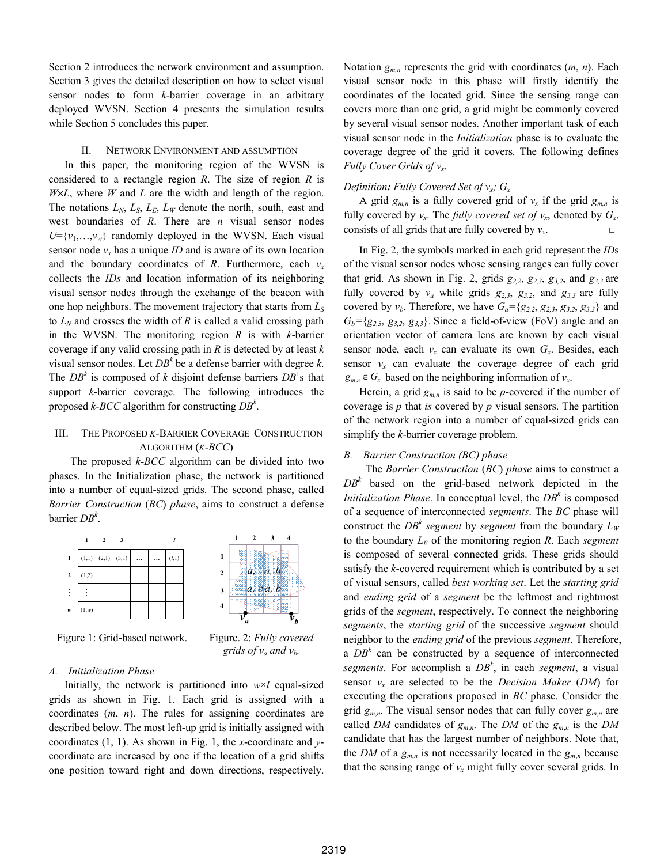Section 2 introduces the network environment and assumption. Section 3 gives the detailed description on how to select visual sensor nodes to form *k*-barrier coverage in an arbitrary deployed WVSN. Section 4 presents the simulation results while Section 5 concludes this paper.

## II. NETWORK ENVIRONMENT AND ASSUMPTION

In this paper, the monitoring region of the WVSN is considered to a rectangle region *R*. The size of region *R* is *W*×*L*, where *W* and *L* are the width and length of the region. The notations  $L_N$ ,  $L_S$ ,  $L_E$ ,  $L_W$  denote the north, south, east and west boundaries of *R*. There are *n* visual sensor nodes  $U = \{v_1, \ldots, v_w\}$  randomly deployed in the WVSN. Each visual sensor node  $v<sub>x</sub>$  has a unique *ID* and is aware of its own location and the boundary coordinates of *R*. Furthermore, each  $v_x$ collects the *IDs* and location information of its neighboring visual sensor nodes through the exchange of the beacon with one hop neighbors. The movement trajectory that starts from  $L<sub>S</sub>$ to  $L_N$  and crosses the width of R is called a valid crossing path in the WVSN. The monitoring region *R* is with *k*-barrier coverage if any valid crossing path in *R* is detected by at least *k* visual sensor nodes. Let *DB<sup>k</sup>* be a defense barrier with degree *k*. The  $DB<sup>k</sup>$  is composed of *k* disjoint defense barriers  $DB<sup>1</sup>$ s that support *k*-barrier coverage. The following introduces the proposed *k*-*BCC* algorithm for constructing *DB<sup>k</sup>* .

## III. THE PROPOSED *K*-BARRIER COVERAGE CONSTRUCTION ALGORITHM (*K*-*BCC*)

The proposed *k*-*BCC* algorithm can be divided into two phases. In the Initialization phase, the network is partitioned into a number of equal-sized grids. The second phase, called *Barrier Construction* (*BC*) *phase*, aims to construct a defense barrier *DBk* .





*grids of*  $v_a$  *and*  $v_b$ .

## *A. Initialization Phase*

Initially, the network is partitioned into *w*×*l* equal-sized grids as shown in Fig. 1. Each grid is assigned with a coordinates (*m*, *n*). The rules for assigning coordinates are described below. The most left-up grid is initially assigned with coordinates (1, 1). As shown in Fig. 1, the *x*-coordinate and *y*coordinate are increased by one if the location of a grid shifts one position toward right and down directions, respectively. Notation *gm,n* represents the grid with coordinates (*m*, *n*). Each visual sensor node in this phase will firstly identify the coordinates of the located grid. Since the sensing range can covers more than one grid, a grid might be commonly covered by several visual sensor nodes. Another important task of each visual sensor node in the *Initialization* phase is to evaluate the coverage degree of the grid it covers. The following defines *Fully Cover Grids of vx*.

## *Definition: Fully Covered Set of vx; Gx*

A grid  $g_{m,n}$  is a fully covered grid of  $v_x$  if the grid  $g_{m,n}$  is fully covered by  $v_x$ . The *fully covered set of*  $v_x$ , denoted by  $G_x$ . consists of all grids that are fully covered by  $v_x$ .

In Fig. 2, the symbols marked in each grid represent the *ID*s of the visual sensor nodes whose sensing ranges can fully cover that grid. As shown in Fig. 2, grids *g2,2*, *g2,3*, *g3,2*, and *g3,3* are fully covered by  $v_a$  while grids  $g_{2,3}$ ,  $g_{3,2}$ , and  $g_{3,3}$  are fully covered by  $v_b$ . Therefore, we have  $G_a = \{g_{2,2}, g_{2,3}, g_{3,2}, g_{3,3}\}\$  and  $G_b = \{g_{2,3}, g_{3,2}, g_{3,3}\}\$ . Since a field-of-view (FoV) angle and an orientation vector of camera lens are known by each visual sensor node, each  $v_x$  can evaluate its own  $G_x$ . Besides, each sensor  $v_x$  can evaluate the coverage degree of each grid  $g_{m,n} \in G_x$  based on the neighboring information of  $v_x$ .

Herein, a grid  $g_{m,n}$  is said to be *p*-covered if the number of coverage is *p* that *is* covered by *p* visual sensors. The partition of the network region into a number of equal-sized grids can simplify the *k*-barrier coverage problem.

## *B. Barrier Construction (BC) phase*

The *Barrier Construction* (*BC*) *phase* aims to construct a  $DB<sup>k</sup>$  based on the grid-based network depicted in the *Initialization Phase*. In conceptual level, the *DB<sup>k</sup>* is composed of a sequence of interconnected *segments*. The *BC* phase will construct the  $DB^k$  *segment* by *segment* from the boundary  $L_W$ to the boundary *LE* of the monitoring region *R*. Each *segment* is composed of several connected grids. These grids should satisfy the *k*-covered requirement which is contributed by a set of visual sensors, called *best working set*. Let the *starting grid* and *ending grid* of a *segment* be the leftmost and rightmost grids of the *segment*, respectively. To connect the neighboring *segments*, the *starting grid* of the successive *segment* should neighbor to the *ending grid* of the previous *segment*. Therefore, a  $DB<sup>k</sup>$  can be constructed by a sequence of interconnected *segments*. For accomplish a *DB<sup>k</sup>* , in each *segment*, a visual sensor  $v_x$  are selected to be the *Decision Maker* (*DM*) for executing the operations proposed in *BC* phase. Consider the grid *gm*,*n*. The visual sensor nodes that can fully cover *gm*,*n* are called *DM* candidates of *gm*,*n*. The *DM* of the *gm*,*n* is the *DM* candidate that has the largest number of neighbors. Note that, the *DM* of a  $g_{m,n}$  is not necessarily located in the  $g_{m,n}$  because that the sensing range of  $v_x$  might fully cover several grids. In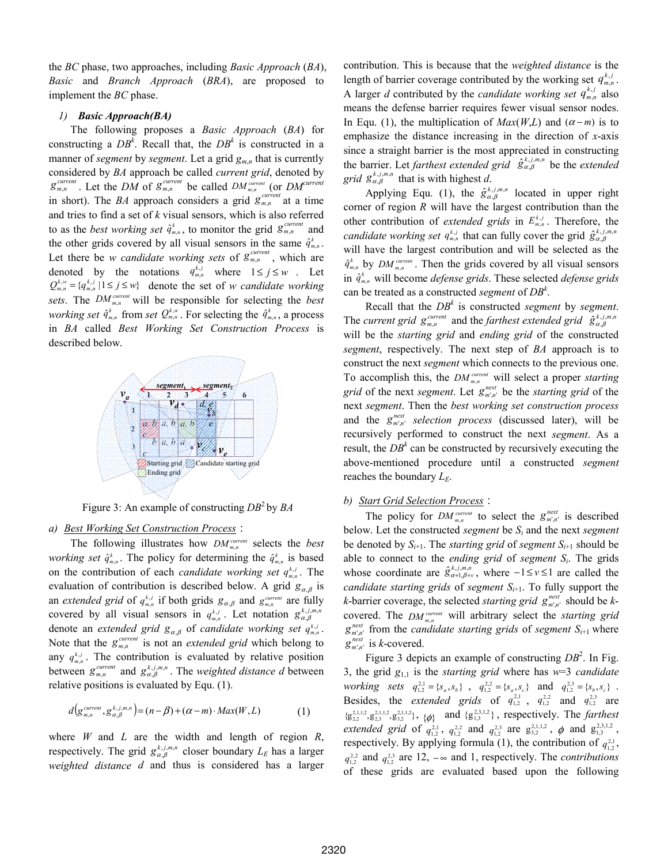the *BC* phase, two approaches, including *Basic Approach* (*BA*), *Basic* and *Branch Approach* (*BRA*), are proposed to implement the *BC* phase.

## *1) Basic Approach(BA)*

The following proposes a *Basic Approach* (*BA*) for constructing a  $DB^k$ . Recall that, the  $DB^k$  is constructed in a manner of *segment* by *segment*. Let a grid *gm*,*n* that is currently considered by *BA* approach be called *current grid*, denoted by  $g_{m,n}^{current}$ . Let the *DM* of  $g_{m,n}^{current}$  be called *DM*<sup>*current*</sup> (or *DM<sup>current</sup>* in short). The *BA* approach considers a grid  $g_{m,n}^{current}$  at a time and tries to find a set of *k* visual sensors, which is also referred to as the *best working set*  $\hat{q}_{m,n}^k$ , to monitor the grid  $g_{m,n}^{current}$  and the other grids covered by all visual sensors in the same  $\hat{q}_{m,n}^k$ . Let there be *w candidate working sets* of  $g_{m,n}^{current}$ , which are denoted by the notations  $q_{m,n}^{k,j}$  where  $1 \le j \le w$ . Let  $Q_{m,n}^{k,w} = \{q_{m,n}^{k,j} \mid 1 \leq j \leq w\}$  denote the set of *w candidate working* sets. The  $DM_{m,n}^{current}$  will be responsible for selecting the *best working set*  $\hat{q}_{m,n}^k$  from *set*  $Q_{m,n}^{k,w}$ . For selecting the  $\hat{q}_{m,n}^k$ , a process in *BA* called *Best Working Set Construction Process* is described below.



Figure 3: An example of constructing *DB*2 by *BA*

## *a) Best Working Set Construction Process*:

The following illustrates how  $DM_{m,n}^{current}$  selects the *best working set*  $\hat{q}_{mn}^k$ . The policy for determining the  $\hat{q}_{mn}^k$  is based on the contribution of each *candidate working set*  $q_{m,n}^{k,j}$ . The evaluation of contribution is described below. A grid  $g_{\alpha,\beta}$  is an *extended grid* of  $q_{m,n}^{k,j}$  if both grids  $g_{\alpha,\beta}$  and  $g_{m,n}^{current}$  are fully covered by all visual sensors in  $q_{m,n}^{k,j}$ . Let notation  $g_{\alpha,\beta}^{k,j,m,n}$ denote an *extended grid*  $g_{\alpha,\beta}$  of *candidate working set*  $q_{m,n}^{k,j}$ . Note that the  $g_{mn}^{current}$  is not an *extended grid* which belong to any  $q_{m,n}^{k,j}$ . The contribution is evaluated by relative position between  $g_{m,n}^{current}$  and  $g_{\alpha,\beta}^{k,j,m,n}$ . The *weighted distance d* between relative positions is evaluated by Equ. (1).

$$
d(g_{m,n}^{current}, g_{\alpha,\beta}^{k,j,m,n}) = (n-\beta) + (\alpha-m) \cdot Max(W, L)
$$
 (1)

where *W* and *L* are the width and length of region *R*, respectively. The grid  $g_{\alpha,\beta}^{k,j,m,n}$  closer boundary  $L_E$  has a larger *weighted distance d* and thus is considered has a larger contribution. This is because that the *weighted distance* is the length of barrier coverage contributed by the working set  $q_{m,n}^{k,j}$ . A larger *d* contributed by the *candidate working set*  $q_{m,n}^{k,j}$  also means the defense barrier requires fewer visual sensor nodes. In Equ. (1), the multiplication of  $Max(W, L)$  and  $(\alpha - m)$  is to emphasize the distance increasing in the direction of *x*-axis since a straight barrier is the most appreciated in constructing the barrier. Let *farthest extended grid*  $\hat{g}_{\alpha,\beta}^{k,j,m,n}$  be the *extended grid*  $g_{\alpha,\beta}^{k,j,m,n}$  that is with highest *d*.

Applying Equ. (1), the  $\hat{g}^{k,j,m,n}_{\alpha,\beta}$  located in upper right corner of region *R* will have the largest contribution than the other contribution of *extended grids* in  $E_{m,n}^{k,j}$ . Therefore, the *candidate working set*  $q_{m,n}^{k,j}$  that can fully cover the grid  $\hat{g}_{\alpha,\beta}^{k,j,m,n}$ will have the largest contribution and will be selected as the  $\hat{q}^k_{m,n}$  by *DM* current. Then the grids covered by all visual sensors in  $\hat{q}_{mn}^k$  will become *defense grids*. These selected *defense grids* can be treated as a constructed *segment* of *DB<sup>k</sup>* .

Recall that the *DB<sup>k</sup>* is constructed *segment* by *segment*. The *current grid*  $g_{m,n}^{current}$  and the *farthest extended grid*  $\hat{g}_{\alpha,\beta}^{k,j,m,n}$ will be the *starting grid* and *ending grid* of the constructed *segment*, respectively. The next step of *BA* approach is to construct the next *segment* which connects to the previous one. To accomplish this, the  $DM_{m,n}^{current}$  will select a proper *starting grid* of the next *segment*. Let  $g_{m',n'}^{next}$  be the *starting grid* of the next *segment*. Then the *best working set construction process* and the  $g_{m',n'}^{next}$  *selection process* (discussed later), will be recursively performed to construct the next *segment*. As a result, the  $DB<sup>k</sup>$  can be constructed by recursively executing the above-mentioned procedure until a constructed *segment* reaches the boundary  $L<sub>E</sub>$ .

#### *b) Start Grid Selection Process*:

The policy for  $DM_{m,n}^{current}$  to select the  $g_{m',n'}^{next}$  is described below. Let the constructed *segment* be *Si* and the next *segment*  be denoted by  $S_{i+1}$ . The *starting grid* of *segment*  $S_{i+1}$  should be able to connect to the *ending grid* of *segment Si*. The grids whose coordinate are  $\hat{g}^{k,j,m,n}_{\alpha+l,\beta+\nu}$ , where  $-1 \leq \nu \leq 1$  are called the *candidate starting grids* of *segment Si*+1. To fully support the *k*-barrier coverage, the selected *starting grid*  $g_{m',n'}^{next}$  should be *k*covered. The  $DM_{m,n}^{current}$  will arbitrary select the *starting grid*  $g_{m',n'}^{next}$  from the *candidate starting grids* of *segment*  $S_{i+1}$  where  $g_{m',n'}^{next}$  is *k*-covered.

Figure 3 depicts an example of constructing  $DB^2$ . In Fig. 3, the grid  $g_{1,1}$  is the *starting grid* where has  $w=3$  *candidate working sets*  $q_{1,2}^{2,1} = \{s_a, s_b\}$ ,  $q_{1,2}^{2,2} = \{s_a, s_c\}$  and  $q_{1,2}^{2,3} = \{s_b, s_c\}$ . Besides, the *extended grids* of  $q_{1,2}^{2,1}$ ,  $q_{1,2}^{2,2}$  and  $q_{1,2}^{2,3}$  are  ${g}_{2,2}^{2,1,1,2}, {g}_{2,3}^{2,1,1,2}, {g}_{3,2}^{2,1,1,2}$ ,  $\{\phi\}$  and  ${g}_{1,3}^{2,3,1,2}$ , respectively. The *farthest extended grid* of  $q_{1,2}^{2,1}$ ,  $q_{1,2}^{2,2}$  and  $q_{1,2}^{2,3}$  are  $g_{3,2}^{2,1,1,2}$ ,  $\phi$  and  $g_{1,3}^{2,3,1,2}$ , respectively. By applying formula (1), the contribution of  $q_{1,2}^{2,1}$ ,  $q_{1,2}^{2,2}$  and  $q_{1,2}^{2,3}$  are 12,  $-\infty$  and 1, respectively. The *contributions* of these grids are evaluated based upon the following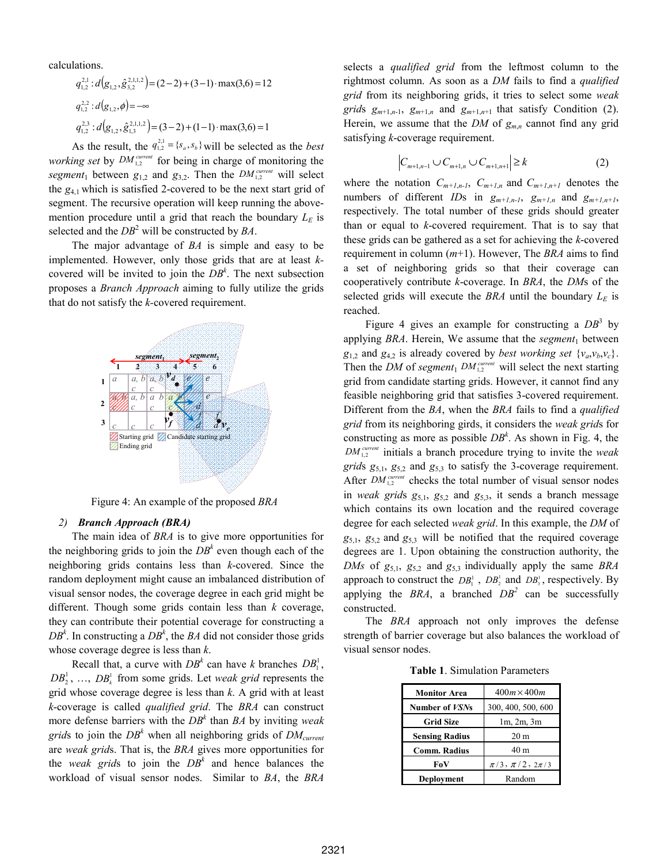calculations.

$$
q_{1,2}^{2,1}:d(g_{1,2},\hat{g}_{3,2}^{2,1,1,2})=(2-2)+(3-1)\cdot \max(3,6)=12
$$
  

$$
q_{1,2}^{2,2}:d(g_{1,2},\phi)=-\infty
$$
  

$$
q_{1,2}^{2,3}:d(g_{1,2},\hat{g}_{1,3}^{2,1,1,2})=(3-2)+(1-1)\cdot \max(3,6)=1
$$

As the result, the  $q_{1,2}^{2,1} = \{s_a, s_b\}$  will be selected as the *best working set* by  $DM_{1,2}^{current}$  for being in charge of monitoring the *segment*<sub>1</sub> between  $g_{1,2}$  and  $g_{3,2}$ . Then the  $DM_{1,2}^{current}$  will select the  $g_{41}$  which is satisfied 2-covered to be the next start grid of segment. The recursive operation will keep running the abovemention procedure until a grid that reach the boundary  $L<sub>E</sub>$  is selected and the  $DB^2$  will be constructed by  $BA$ .

The major advantage of *BA* is simple and easy to be implemented. However, only those grids that are at least *k*covered will be invited to join the  $DB^k$ . The next subsection proposes a *Branch Approach* aiming to fully utilize the grids that do not satisfy the *k-*covered requirement.



Figure 4: An example of the proposed *BRA*

## *2) Branch Approach (BRA)*

The main idea of *BRA* is to give more opportunities for the neighboring grids to join the  $DB^k$  even though each of the neighboring grids contains less than *k*-covered. Since the random deployment might cause an imbalanced distribution of visual sensor nodes, the coverage degree in each grid might be different. Though some grids contain less than *k* coverage, they can contribute their potential coverage for constructing a  $DB<sup>k</sup>$ . In constructing a  $DB<sup>k</sup>$ , the *BA* did not consider those grids whose coverage degree is less than *k*.

Recall that, a curve with  $DB^k$  can have k branches  $DB_1^1$ ,  $DB^1_2$ , …,  $DB^1_k$  from some grids. Let *weak grid* represents the grid whose coverage degree is less than *k*. A grid with at least *k*-coverage is called *qualified grid*. The *BRA* can construct more defense barriers with the *DB<sup>k</sup>* than *BA* by inviting *weak grid*s to join the *DB<sup>k</sup>* when all neighboring grids of *DMcurrent* are *weak grid*s. That is, the *BRA* gives more opportunities for the *weak grid*s to join the *DB<sup>k</sup>* and hence balances the workload of visual sensor nodes. Similar to *BA*, the *BRA*

selects a *qualified grid* from the leftmost column to the rightmost column. As soon as a *DM* fails to find a *qualified grid* from its neighboring grids, it tries to select some *weak grids*  $g_{m+1,n-1}$ ,  $g_{m+1,n}$  and  $g_{m+1,n+1}$  that satisfy Condition (2). Herein, we assume that the *DM* of  $g_{m,n}$  cannot find any grid satisfying *k*-coverage requirement.

$$
\left|C_{m+1,n-1} \cup C_{m+1,n} \cup C_{m+1,n+1}\right| \ge k \tag{2}
$$

where the notation  $C_{m+1,n-1}$ ,  $C_{m+1,n}$  and  $C_{m+1,n+1}$  denotes the numbers of different *IDs* in  $g_{m+1,n-1}$ ,  $g_{m+1,n}$  and  $g_{m+1,n+1}$ , respectively. The total number of these grids should greater than or equal to *k*-covered requirement. That is to say that these grids can be gathered as a set for achieving the *k*-covered requirement in column (*m*+1). However, The *BRA* aims to find a set of neighboring grids so that their coverage can cooperatively contribute *k*-coverage. In *BRA*, the *DM*s of the selected grids will execute the  $BRA$  until the boundary  $L_E$  is reached.

Figure 4 gives an example for constructing a  $DB^3$  by applying *BRA*. Herein, We assume that the *segment*<sub>1</sub> between  $g_{1,2}$  and  $g_{4,2}$  is already covered by *best working set*  $\{v_a, v_b, v_c\}$ . Then the *DM* of *segment*<sub>1</sub>  $DM_{1,2}^{current}$  will select the next starting grid from candidate starting grids. However, it cannot find any feasible neighboring grid that satisfies 3-covered requirement. Different from the *BA*, when the *BRA* fails to find a *qualified grid* from its neighboring girds, it considers the *weak grid*s for constructing as more as possible  $DB^k$ . As shown in Fig. 4, the  $DM_{1,2}^{current}$  initials a branch procedure trying to invite the *weak grid*s *g*5,1, *g*5,2 and *g*5,3 to satisfy the 3-coverage requirement. After  $DM_{12}^{current}$  checks the total number of visual sensor nodes in *weak grids*  $g_{5,1}$ ,  $g_{5,2}$  and  $g_{5,3}$ , it sends a branch message which contains its own location and the required coverage degree for each selected *weak grid*. In this example, the *DM* of *g*5,1, *g*5,2 and *g*5,3 will be notified that the required coverage degrees are 1. Upon obtaining the construction authority, the *DMs* of *g*5,1, *g*5,2 and *g*5,3 individually apply the same *BRA* approach to construct the  $DB_1^1$ ,  $DB_2^1$  and  $DB_3^1$ , respectively. By applying the *BRA*, a branched  $DB^2$  can be successfully constructed.

The *BRA* approach not only improves the defense strength of barrier coverage but also balances the workload of visual sensor nodes.

| <b>Monitor Area</b>   | $400m \times 400m$           |
|-----------------------|------------------------------|
| Number of <i>VSNs</i> | 300, 400, 500, 600           |
| <b>Grid Size</b>      | 1m, 2m, 3m                   |
| <b>Sensing Radius</b> | 20 <sub>m</sub>              |
| <b>Comm. Radius</b>   | 40 <sub>m</sub>              |
| FoV                   | $\pi/3$ , $\pi/2$ , $2\pi/3$ |
| <b>Deployment</b>     | Random                       |

**Table 1**. Simulation Parameters